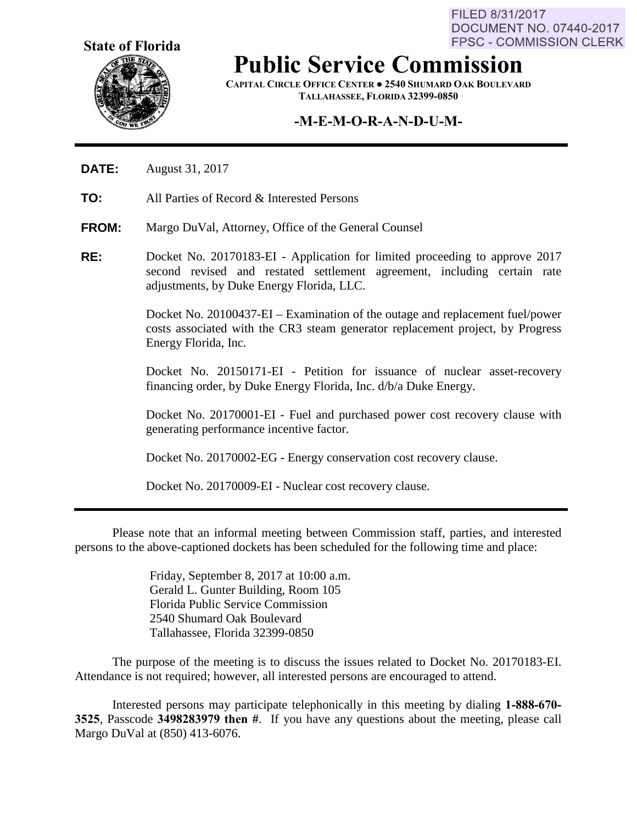**State of Florida**



**Public Service Commission**

**CAPITAL CIRCLE OFFICE CENTER ● 2540 SHUMARD OAK BOULEVARD TALLAHASSEE, FLORIDA 32399-0850**

## **-M-E-M-O-R-A-N-D-U-M-**

- **DATE:** August 31, 2017
- **TO:** All Parties of Record & Interested Persons
- **FROM:** Margo DuVal, Attorney, Office of the General Counsel
- **RE:** Docket No. 20170183-EI Application for limited proceeding to approve 2017 second revised and restated settlement agreement, including certain rate adjustments, by Duke Energy Florida, LLC.

Docket No. 20100437-EI – Examination of the outage and replacement fuel/power costs associated with the CR3 steam generator replacement project, by Progress Energy Florida, Inc.

Docket No. 20150171-EI - Petition for issuance of nuclear asset-recovery financing order, by Duke Energy Florida, Inc. d/b/a Duke Energy.

Docket No. 20170001-EI - Fuel and purchased power cost recovery clause with generating performance incentive factor.

Docket No. 20170002-EG - Energy conservation cost recovery clause.

Docket No. 20170009-EI - Nuclear cost recovery clause.

Please note that an informal meeting between Commission staff, parties, and interested persons to the above-captioned dockets has been scheduled for the following time and place:

> Friday, September 8, 2017 at 10:00 a.m. Gerald L. Gunter Building, Room 105 Florida Public Service Commission 2540 Shumard Oak Boulevard Tallahassee, Florida 32399-0850

The purpose of the meeting is to discuss the issues related to Docket No. 20170183-EI. Attendance is not required; however, all interested persons are encouraged to attend.

Interested persons may participate telephonically in this meeting by dialing **1-888-670- 3525**, Passcode **3498283979 then #**. If you have any questions about the meeting, please call Margo DuVal at (850) 413-6076.

FILED 8/31/2017 DOCUMENT NO. 07440-2017 **FPSC - COMMISSION CLERK**